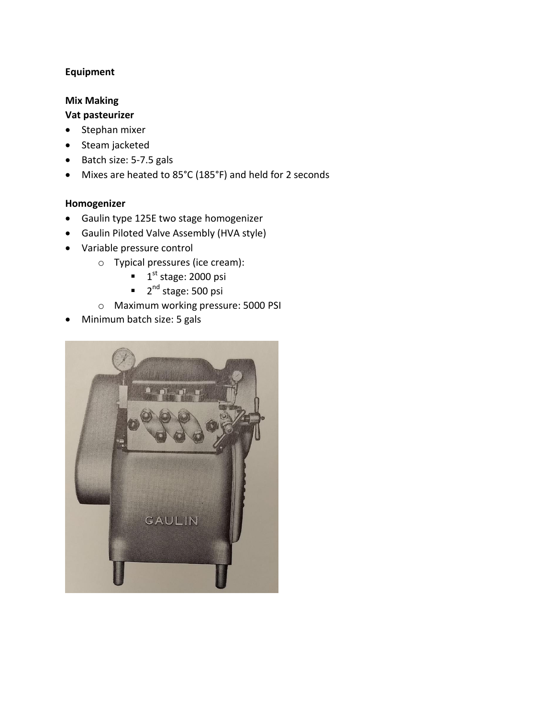# **Equipment**

### **Mix Making**

# **Vat pasteurizer**

- $\bullet$  Stephan mixer
- Steam jacketed
- Batch size: 5-7.5 gals
- Mixes are heated to 85°C (185°F) and held for 2 seconds

## **Homogenizer**

- Gaulin type 125E two stage homogenizer
- Gaulin Piloted Valve Assembly (HVA style)
- Variable pressure control
	- o Typical pressures (ice cream):
		- $\blacksquare$  1<sup>st</sup> stage: 2000 psi
		- 2<sup>nd</sup> stage: 500 psi
	- o Maximum working pressure: 5000 PSI
- Minimum batch size: 5 gals

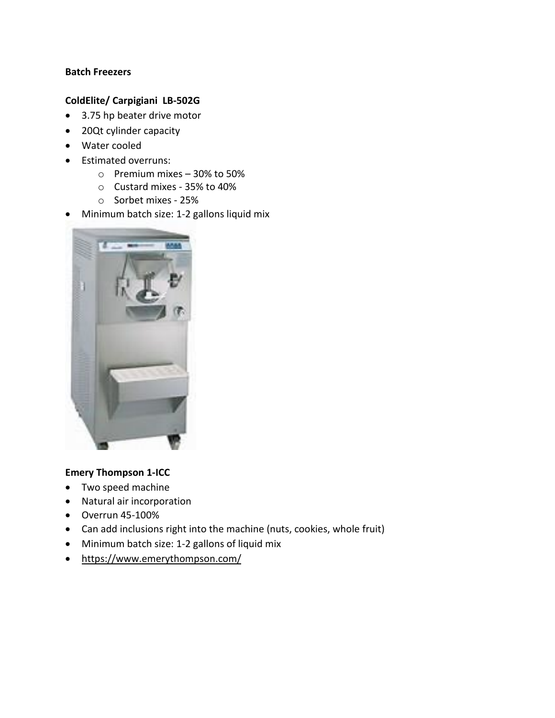#### **Batch Freezers**

## **ColdElite/ Carpigiani LB-502G**

- 3.75 hp beater drive motor
- 20Qt cylinder capacity
- Water cooled
- Estimated overruns:
	- o Premium mixes 30% to 50%
	- o Custard mixes 35% to 40%
	- o Sorbet mixes 25%
- Minimum batch size: 1-2 gallons liquid mix



## **Emery Thompson 1-ICC**

- Two speed machine
- Natural air incorporation
- $\bullet$  Overrun 45-100%
- Can add inclusions right into the machine (nuts, cookies, whole fruit)
- Minimum batch size: 1-2 gallons of liquid mix
- <https://www.emerythompson.com/>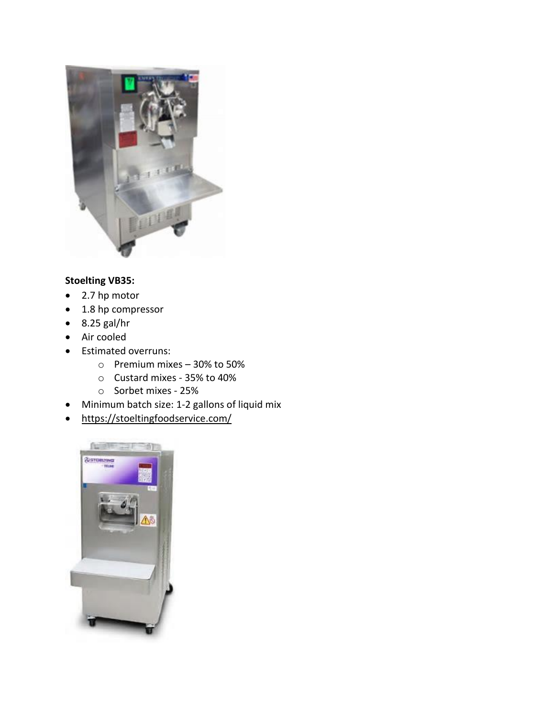

# **Stoelting VB35:**

- 2.7 hp motor
- 1.8 hp compressor
- $\bullet$  8.25 gal/hr
- Air cooled
- Estimated overruns:
	- o Premium mixes 30% to 50%
	- o Custard mixes 35% to 40%
	- o Sorbet mixes 25%
- Minimum batch size: 1-2 gallons of liquid mix
- <https://stoeltingfoodservice.com/>

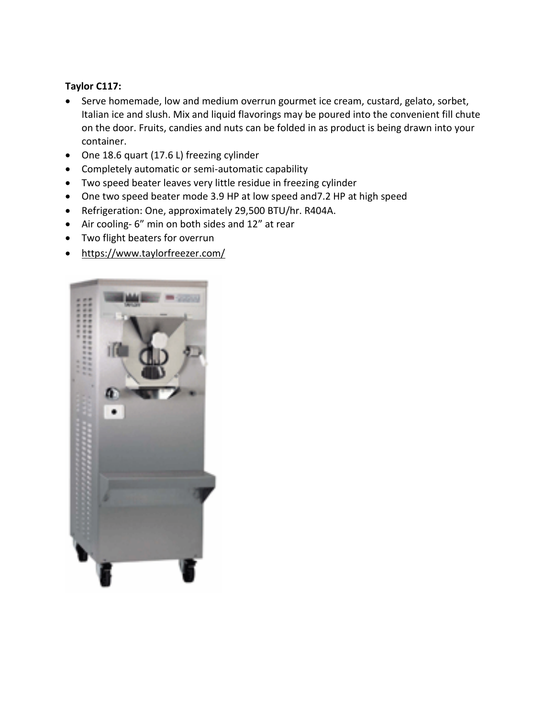### **Taylor C117:**

- Serve homemade, low and medium overrun gourmet ice cream, custard, gelato, sorbet, Italian ice and slush. Mix and liquid flavorings may be poured into the convenient fill chute on the door. Fruits, candies and nuts can be folded in as product is being drawn into your container.
- One 18.6 quart (17.6 L) freezing cylinder
- Completely automatic or semi-automatic capability
- Two speed beater leaves very little residue in freezing cylinder
- One two speed beater mode 3.9 HP at low speed and7.2 HP at high speed
- Refrigeration: One, approximately 29,500 BTU/hr. R404A.
- Air cooling- 6" min on both sides and 12" at rear
- Two flight beaters for overrun
- <https://www.taylorfreezer.com/>

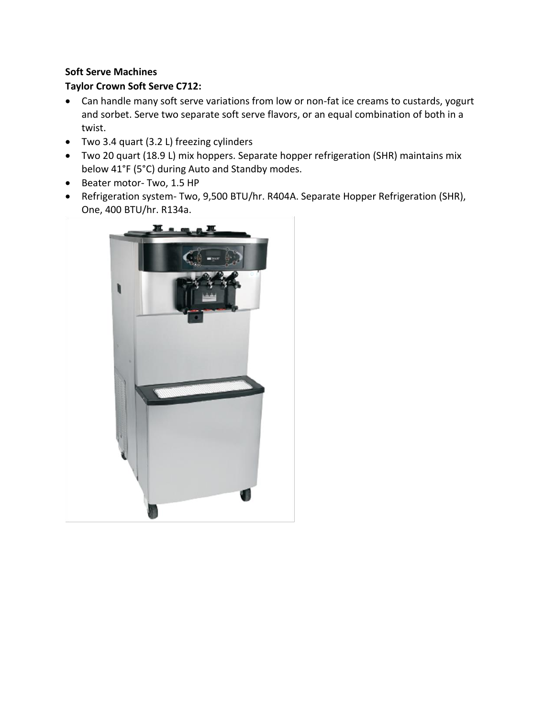## **Soft Serve Machines**

## **Taylor Crown Soft Serve C712:**

- Can handle many soft serve variations from low or non-fat ice creams to custards, yogurt and sorbet. Serve two separate soft serve flavors, or an equal combination of both in a twist.
- Two 3.4 quart (3.2 L) freezing cylinders
- Two 20 quart (18.9 L) mix hoppers. Separate hopper refrigeration (SHR) maintains mix below 41°F (5°C) during Auto and Standby modes.
- Beater motor- Two, 1.5 HP
- Refrigeration system- Two, 9,500 BTU/hr. R404A. Separate Hopper Refrigeration (SHR), One, 400 BTU/hr. R134a.

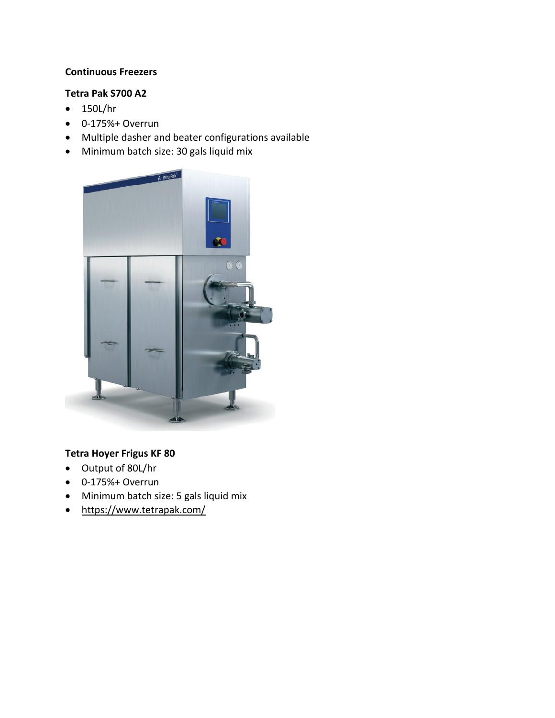#### **Continuous Freezers**

#### **Tetra Pak S700 A2**

- $\bullet$  150L/hr
- 0-175%+ Overrun
- Multiple dasher and beater configurations available
- Minimum batch size: 30 gals liquid mix



## **Tetra Hoyer Frigus KF 80**

- Output of 80L/hr
- $\bullet$  0-175%+ Overrun
- Minimum batch size: 5 gals liquid mix
- <https://www.tetrapak.com/>